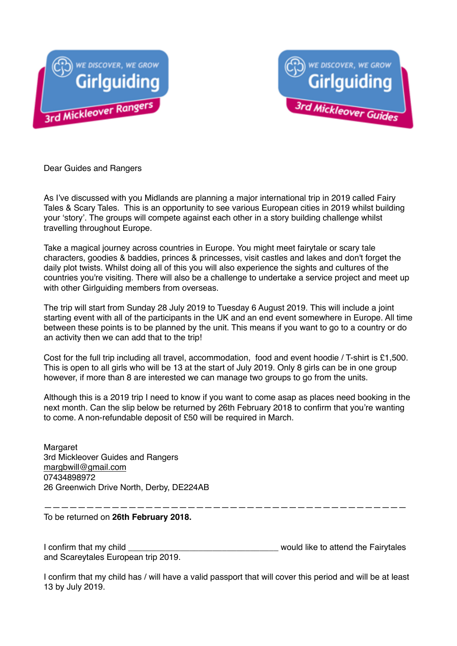



Dear Guides and Rangers

As I've discussed with you Midlands are planning a major international trip in 2019 called Fairy Tales & Scary Tales. This is an opportunity to see various European cities in 2019 whilst building your 'story'. The groups will compete against each other in a story building challenge whilst travelling throughout Europe.

Take a magical journey across countries in Europe. You might meet fairytale or scary tale characters, goodies & baddies, princes & princesses, visit castles and lakes and don't forget the daily plot twists. Whilst doing all of this you will also experience the sights and cultures of the countries you're visiting. There will also be a challenge to undertake a service project and meet up with other Girlguiding members from overseas.

The trip will start from Sunday 28 July 2019 to Tuesday 6 August 2019. This will include a joint starting event with all of the participants in the UK and an end event somewhere in Europe. All time between these points is to be planned by the unit. This means if you want to go to a country or do an activity then we can add that to the trip!

Cost for the full trip including all travel, accommodation, food and event hoodie / T-shirt is £1,500. This is open to all girls who will be 13 at the start of July 2019. Only 8 girls can be in one group however, if more than 8 are interested we can manage two groups to go from the units.

Although this is a 2019 trip I need to know if you want to come asap as places need booking in the next month. Can the slip below be returned by 26th February 2018 to confirm that you're wanting to come. A non-refundable deposit of £50 will be required in March.

Margaret 3rd Mickleover Guides and Rangers [margbwill@gmail.com](mailto:margbwill@gmail.com) 07434898972 26 Greenwich Drive North, Derby, DE224AB

——————————————————————————————————————————— To be returned on **26th February 2018.**

I confirm that my child **I** confirm that my child and Scareytales European trip 2019.

I confirm that my child has / will have a valid passport that will cover this period and will be at least 13 by July 2019.